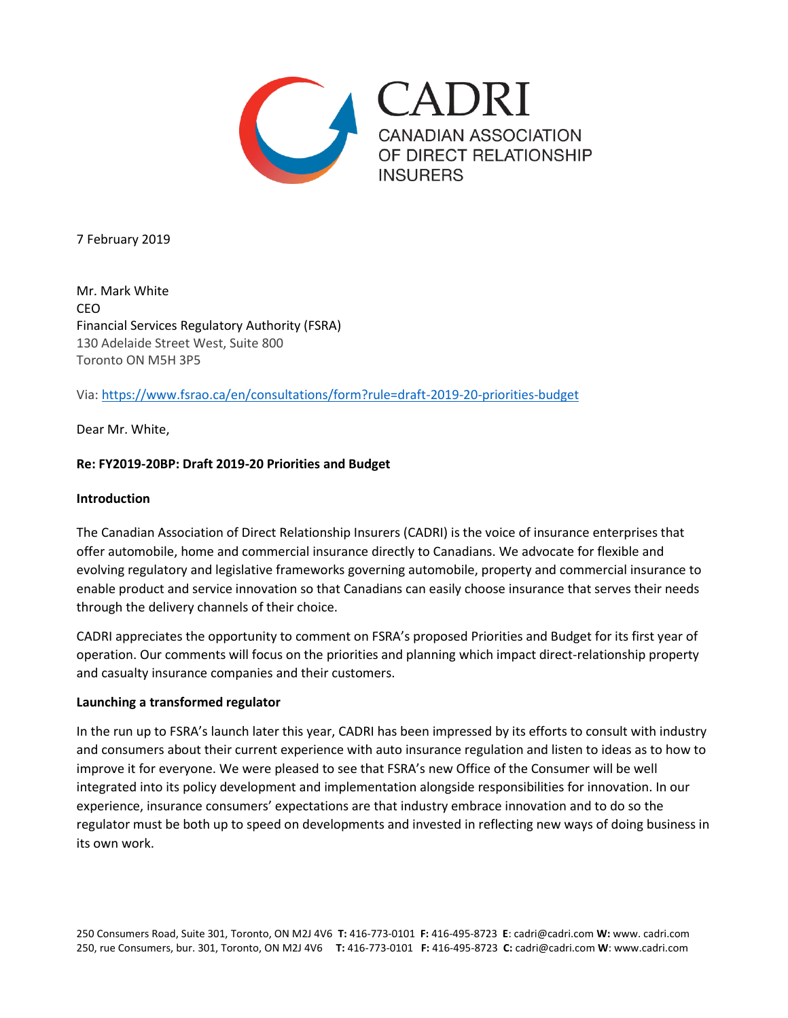

7 February 2019

Mr. Mark White CEO Financial Services Regulatory Authority (FSRA) 130 Adelaide Street West, Suite 800 Toronto ON M5H 3P5

Via:<https://www.fsrao.ca/en/consultations/form?rule=draft-2019-20-priorities-budget>

Dear Mr. White,

### **Re: FY2019-20BP: Draft 2019-20 Priorities and Budget**

#### **Introduction**

The Canadian Association of Direct Relationship Insurers (CADRI) is the voice of insurance enterprises that offer automobile, home and commercial insurance directly to Canadians. We advocate for flexible and evolving regulatory and legislative frameworks governing automobile, property and commercial insurance to enable product and service innovation so that Canadians can easily choose insurance that serves their needs through the delivery channels of their choice.

CADRI appreciates the opportunity to comment on FSRA's proposed Priorities and Budget for its first year of operation. Our comments will focus on the priorities and planning which impact direct-relationship property and casualty insurance companies and their customers.

### **Launching a transformed regulator**

In the run up to FSRA's launch later this year, CADRI has been impressed by its efforts to consult with industry and consumers about their current experience with auto insurance regulation and listen to ideas as to how to improve it for everyone. We were pleased to see that FSRA's new Office of the Consumer will be well integrated into its policy development and implementation alongside responsibilities for innovation. In our experience, insurance consumers' expectations are that industry embrace innovation and to do so the regulator must be both up to speed on developments and invested in reflecting new ways of doing business in its own work.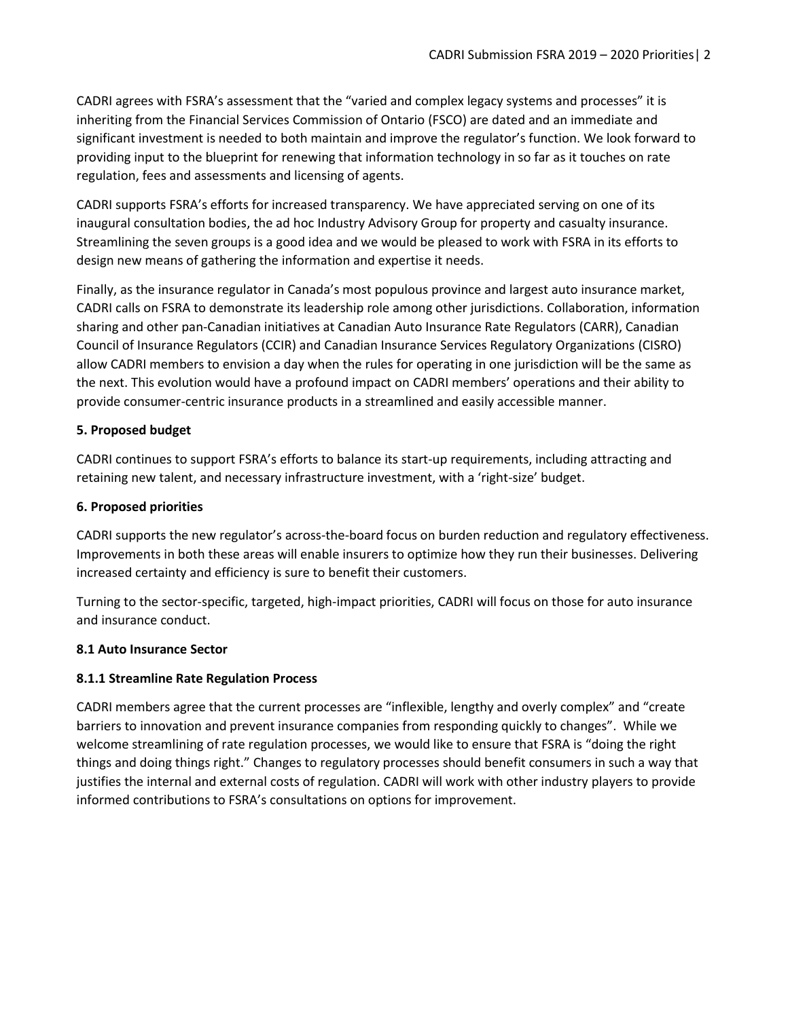CADRI agrees with FSRA's assessment that the "varied and complex legacy systems and processes" it is inheriting from the Financial Services Commission of Ontario (FSCO) are dated and an immediate and significant investment is needed to both maintain and improve the regulator's function. We look forward to providing input to the blueprint for renewing that information technology in so far as it touches on rate regulation, fees and assessments and licensing of agents.

CADRI supports FSRA's efforts for increased transparency. We have appreciated serving on one of its inaugural consultation bodies, the ad hoc Industry Advisory Group for property and casualty insurance. Streamlining the seven groups is a good idea and we would be pleased to work with FSRA in its efforts to design new means of gathering the information and expertise it needs.

Finally, as the insurance regulator in Canada's most populous province and largest auto insurance market, CADRI calls on FSRA to demonstrate its leadership role among other jurisdictions. Collaboration, information sharing and other pan-Canadian initiatives at Canadian Auto Insurance Rate Regulators (CARR), Canadian Council of Insurance Regulators (CCIR) and Canadian Insurance Services Regulatory Organizations (CISRO) allow CADRI members to envision a day when the rules for operating in one jurisdiction will be the same as the next. This evolution would have a profound impact on CADRI members' operations and their ability to provide consumer-centric insurance products in a streamlined and easily accessible manner.

# **5. Proposed budget**

CADRI continues to support FSRA's efforts to balance its start-up requirements, including attracting and retaining new talent, and necessary infrastructure investment, with a 'right-size' budget.

### **6. Proposed priorities**

CADRI supports the new regulator's across-the-board focus on burden reduction and regulatory effectiveness. Improvements in both these areas will enable insurers to optimize how they run their businesses. Delivering increased certainty and efficiency is sure to benefit their customers.

Turning to the sector-specific, targeted, high-impact priorities, CADRI will focus on those for auto insurance and insurance conduct.

### **8.1 Auto Insurance Sector**

### **8.1.1 Streamline Rate Regulation Process**

CADRI members agree that the current processes are "inflexible, lengthy and overly complex" and "create barriers to innovation and prevent insurance companies from responding quickly to changes". While we welcome streamlining of rate regulation processes, we would like to ensure that FSRA is "doing the right things and doing things right." Changes to regulatory processes should benefit consumers in such a way that justifies the internal and external costs of regulation. CADRI will work with other industry players to provide informed contributions to FSRA's consultations on options for improvement.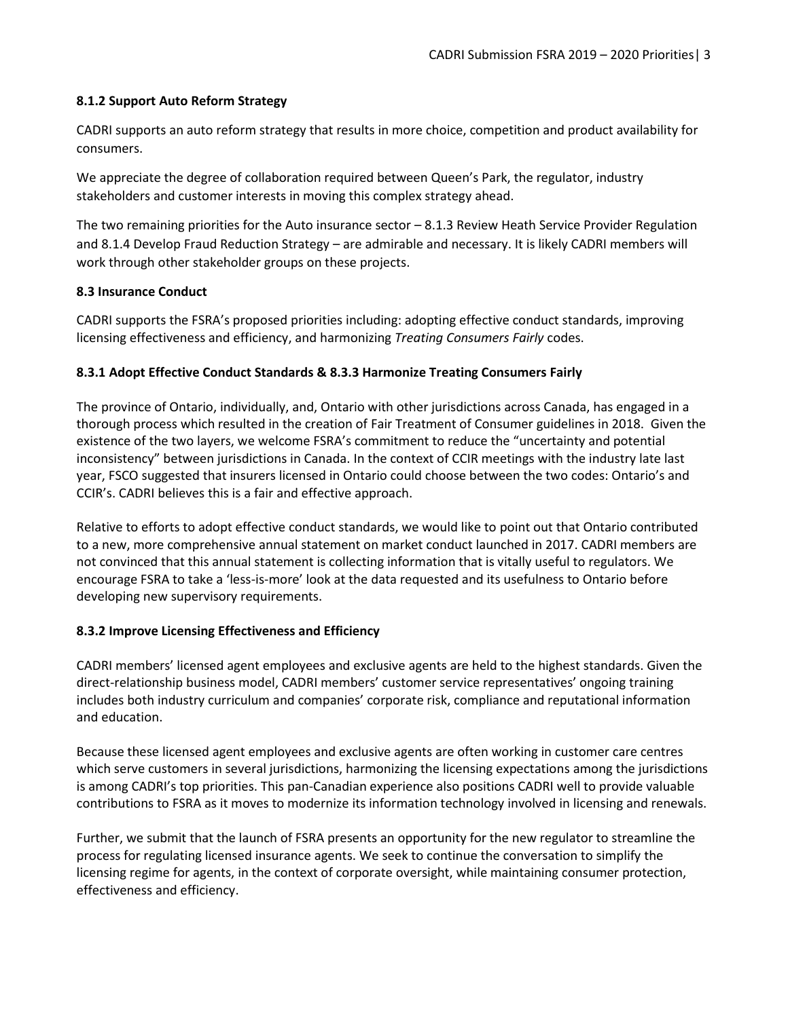### **8.1.2 Support Auto Reform Strategy**

CADRI supports an auto reform strategy that results in more choice, competition and product availability for consumers.

We appreciate the degree of collaboration required between Queen's Park, the regulator, industry stakeholders and customer interests in moving this complex strategy ahead.

The two remaining priorities for the Auto insurance sector – 8.1.3 Review Heath Service Provider Regulation and 8.1.4 Develop Fraud Reduction Strategy – are admirable and necessary. It is likely CADRI members will work through other stakeholder groups on these projects.

# **8.3 Insurance Conduct**

CADRI supports the FSRA's proposed priorities including: adopting effective conduct standards, improving licensing effectiveness and efficiency, and harmonizing *Treating Consumers Fairly* codes.

# **8.3.1 Adopt Effective Conduct Standards & 8.3.3 Harmonize Treating Consumers Fairly**

The province of Ontario, individually, and, Ontario with other jurisdictions across Canada, has engaged in a thorough process which resulted in the creation of Fair Treatment of Consumer guidelines in 2018. Given the existence of the two layers, we welcome FSRA's commitment to reduce the "uncertainty and potential inconsistency" between jurisdictions in Canada. In the context of CCIR meetings with the industry late last year, FSCO suggested that insurers licensed in Ontario could choose between the two codes: Ontario's and CCIR's. CADRI believes this is a fair and effective approach.

Relative to efforts to adopt effective conduct standards, we would like to point out that Ontario contributed to a new, more comprehensive annual statement on market conduct launched in 2017. CADRI members are not convinced that this annual statement is collecting information that is vitally useful to regulators. We encourage FSRA to take a 'less-is-more' look at the data requested and its usefulness to Ontario before developing new supervisory requirements.

### **8.3.2 Improve Licensing Effectiveness and Efficiency**

CADRI members' licensed agent employees and exclusive agents are held to the highest standards. Given the direct-relationship business model, CADRI members' customer service representatives' ongoing training includes both industry curriculum and companies' corporate risk, compliance and reputational information and education.

Because these licensed agent employees and exclusive agents are often working in customer care centres which serve customers in several jurisdictions, harmonizing the licensing expectations among the jurisdictions is among CADRI's top priorities. This pan-Canadian experience also positions CADRI well to provide valuable contributions to FSRA as it moves to modernize its information technology involved in licensing and renewals.

Further, we submit that the launch of FSRA presents an opportunity for the new regulator to streamline the process for regulating licensed insurance agents. We seek to continue the conversation to simplify the licensing regime for agents, in the context of corporate oversight, while maintaining consumer protection, effectiveness and efficiency.